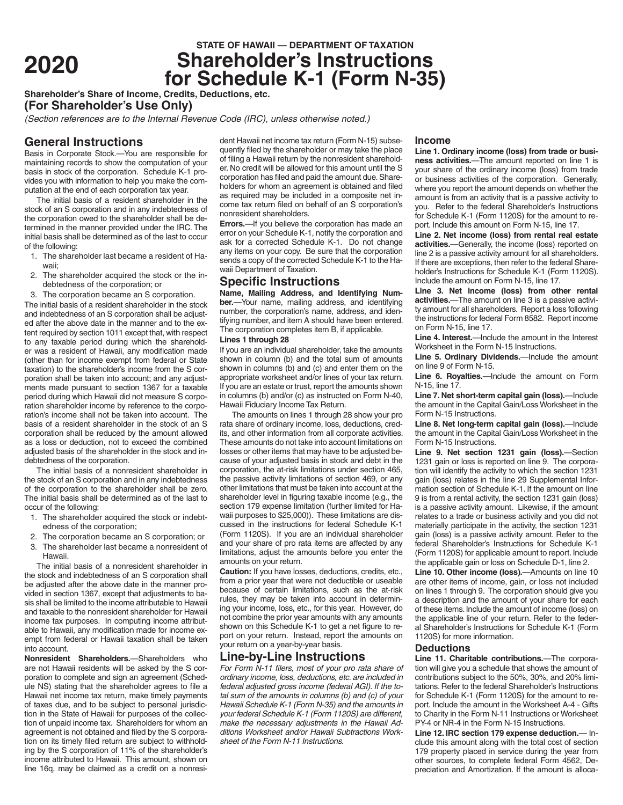# **STATE OF HAWAII — DEPARTMENT OF TAXATION**<br>**Shareholder's Instructions <sup>2020</sup> Shareholder's Instructions for Schedule K-1 (Form N-35)**

**Shareholder's Share of Income, Credits, Deductions, etc.**

**(For Shareholder's Use Only)**

*(Section references are to the Internal Revenue Code (IRC), unless otherwise noted.)*

# **General Instructions**

Basis in Corporate Stock.—You are responsible for maintaining records to show the computation of your basis in stock of the corporation. Schedule K-1 provides you with information to help you make the computation at the end of each corporation tax year.

The initial basis of a resident shareholder in the stock of an S corporation and in any indebtedness of the corporation owed to the shareholder shall be determined in the manner provided under the IRC. The initial basis shall be determined as of the last to occur of the following:

- 1. The shareholder last became a resident of Hawaii;
- 2. The shareholder acquired the stock or the indebtedness of the corporation; or
- 3. The corporation became an S corporation.

The initial basis of a resident shareholder in the stock and indebtedness of an S corporation shall be adjusted after the above date in the manner and to the extent required by section 1011 except that, with respect to any taxable period during which the shareholder was a resident of Hawaii, any modification made (other than for income exempt from federal or State taxation) to the shareholder's income from the S corporation shall be taken into account; and any adjustments made pursuant to section 1367 for a taxable period during which Hawaii did not measure S corporation shareholder income by reference to the corporation's income shall not be taken into account. The basis of a resident shareholder in the stock of an S corporation shall be reduced by the amount allowed as a loss or deduction, not to exceed the combined adjusted basis of the shareholder in the stock and indebtedness of the corporation.

The initial basis of a nonresident shareholder in the stock of an S corporation and in any indebtedness of the corporation to the shareholder shall be zero. The initial basis shall be determined as of the last to occur of the following:

- 1. The shareholder acquired the stock or indebtedness of the corporation;
- 2. The corporation became an S corporation; or
- 3. The shareholder last became a nonresident of Hawaii.

The initial basis of a nonresident shareholder in the stock and indebtedness of an S corporation shall be adjusted after the above date in the manner provided in section 1367, except that adjustments to basis shall be limited to the income attributable to Hawaii and taxable to the nonresident shareholder for Hawaii income tax purposes. In computing income attributable to Hawaii, any modification made for income exempt from federal or Hawaii taxation shall be taken into account.

**Nonresident Shareholders.**—Shareholders who are not Hawaii residents will be asked by the S corporation to complete and sign an agreement (Schedule NS) stating that the shareholder agrees to file a Hawaii net income tax return, make timely payments of taxes due, and to be subject to personal jurisdiction in the State of Hawaii for purposes of the collection of unpaid income tax. Shareholders for whom an agreement is not obtained and filed by the S corporation on its timely filed return are subject to withholding by the S corporation of 11% of the shareholder's income attributed to Hawaii. This amount, shown on line 16q, may be claimed as a credit on a nonresi-

dent Hawaii net income tax return (Form N-15) subsequently filed by the shareholder or may take the place of filing a Hawaii return by the nonresident shareholder. No credit will be allowed for this amount until the S corporation has filed and paid the amount due. Shareholders for whom an agreement is obtained and filed as required may be included in a composite net income tax return filed on behalf of an S corporation's nonresident shareholders.

**Errors.**—If you believe the corporation has made an error on your Schedule K-1, notify the corporation and ask for a corrected Schedule K-1. Do not change any items on your copy. Be sure that the corporation sends a copy of the corrected Schedule K-1 to the Hawaii Department of Taxation.

# **Specific Instructions**

**Name, Mailing Address, and Identifying Number.**—Your name, mailing address, and identifying number, the corporation's name, address, and identifying number, and item A should have been entered. The corporation completes item B, if applicable.

## **Lines 1 through 28**

If you are an individual shareholder, take the amounts shown in column (b) and the total sum of amounts shown in columns (b) and (c) and enter them on the appropriate worksheet and/or lines of your tax return. If you are an estate or trust, report the amounts shown in columns (b) and/or (c) as instructed on Form N-40, Hawaii Fiduciary Income Tax Return.

The amounts on lines 1 through 28 show your pro rata share of ordinary income, loss, deductions, credits, and other information from all corporate activities. These amounts do not take into account limitations on losses or other items that may have to be adjusted because of your adjusted basis in stock and debt in the corporation, the at-risk limitations under section 465, the passive activity limitations of section 469, or any other limitations that must be taken into account at the shareholder level in figuring taxable income (e.g., the section 179 expense limitation (further limited for Hawaii purposes to \$25,000)). These limitations are discussed in the instructions for federal Schedule K-1 (Form 1120S). If you are an individual shareholder and your share of pro rata items are affected by any limitations, adjust the amounts before you enter the amounts on your return.

**Caution:** If you have losses, deductions, credits, etc., from a prior year that were not deductible or useable because of certain limitations, such as the at-risk rules, they may be taken into account in determining your income, loss, etc., for this year. However, do not combine the prior year amounts with any amounts shown on this Schedule K-1 to get a net figure to report on your return. Instead, report the amounts on your return on a year-by-year basis.

## **Line-by-Line Instructions**

*For Form N-11 filers, most of your pro rata share of ordinary income, loss, deductions, etc. are included in federal adjusted gross income (federal AGI). If the total sum of the amounts in columns (b) and (c) of your Hawaii Schedule K-1 (Form N-35) and the amounts in your federal Schedule K-1 (Form 1120S) are different, make the necessary adjustments in the Hawaii Additions Worksheet and/or Hawaii Subtractions Worksheet of the Form N-11 Instructions.*

#### **Income**

**Line 1. Ordinary income (loss) from trade or business activities.**—The amount reported on line 1 is your share of the ordinary income (loss) from trade or business activities of the corporation. Generally, where you report the amount depends on whether the amount is from an activity that is a passive activity to you. Refer to the federal Shareholder's Instructions for Schedule K-1 (Form 1120S) for the amount to report. Include this amount on Form N-15, line 17.

**Line 2. Net income (loss) from rental real estate activities.**—Generally, the income (loss) reported on line 2 is a passive activity amount for all shareholders. If there are exceptions, then refer to the federal Shareholder's Instructions for Schedule K-1 (Form 1120S). Include the amount on Form N-15, line 17.

**Line 3. Net income (loss) from other rental activities.**—The amount on line 3 is a passive activity amount for all shareholders. Report a loss following the instructions for federal Form 8582. Report income on Form N-15, line 17.

**Line 4. Interest.**—Include the amount in the Interest Worksheet in the Form N-15 Instructions.

**Line 5. Ordinary Dividends.**—Include the amount on line 9 of Form N-15.

**Line 6. Royalties.**—Include the amount on Form N-15, line 17.

**Line 7. Net short-term capital gain (loss).**—Include the amount in the Capital Gain/Loss Worksheet in the Form N-15 Instructions.

**Line 8. Net long-term capital gain (loss).**—Include the amount in the Capital Gain/Loss Worksheet in the Form N-15 Instructions.

**Line 9. Net section 1231 gain (loss).**—Section 1231 gain or loss is reported on line 9. The corporation will identify the activity to which the section 1231 gain (loss) relates in the line 29 Supplemental Information section of Schedule K-1. If the amount on line 9 is from a rental activity, the section 1231 gain (loss) is a passive activity amount. Likewise, if the amount relates to a trade or business activity and you did not materially participate in the activity, the section 1231 gain (loss) is a passive activity amount. Refer to the federal Shareholder's Instructions for Schedule K-1 (Form 1120S) for applicable amount to report. Include the applicable gain or loss on Schedule D-1, line 2.

**Line 10. Other income (loss).**—Amounts on line 10 are other items of income, gain, or loss not included on lines 1 through 9. The corporation should give you a description and the amount of your share for each of these items. Include the amount of income (loss) on the applicable line of your return. Refer to the federal Shareholder's Instructions for Schedule K-1 (Form 1120S) for more information.

#### **Deductions**

**Line 11. Charitable contributions.**—The corporation will give you a schedule that shows the amount of contributions subject to the 50%, 30%, and 20% limitations. Refer to the federal Shareholder's Instructions for Schedule K-1 (Form 1120S) for the amount to report. Include the amount in the Worksheet A-4 - Gifts to Charity in the Form N-11 Instructions or Worksheet PY-4 or NR-4 in the Form N-15 Instructions.

**Line 12. IRC section 179 expense deduction.**— Include this amount along with the total cost of section 179 property placed in service during the year from other sources, to complete federal Form 4562, Depreciation and Amortization. If the amount is alloca-